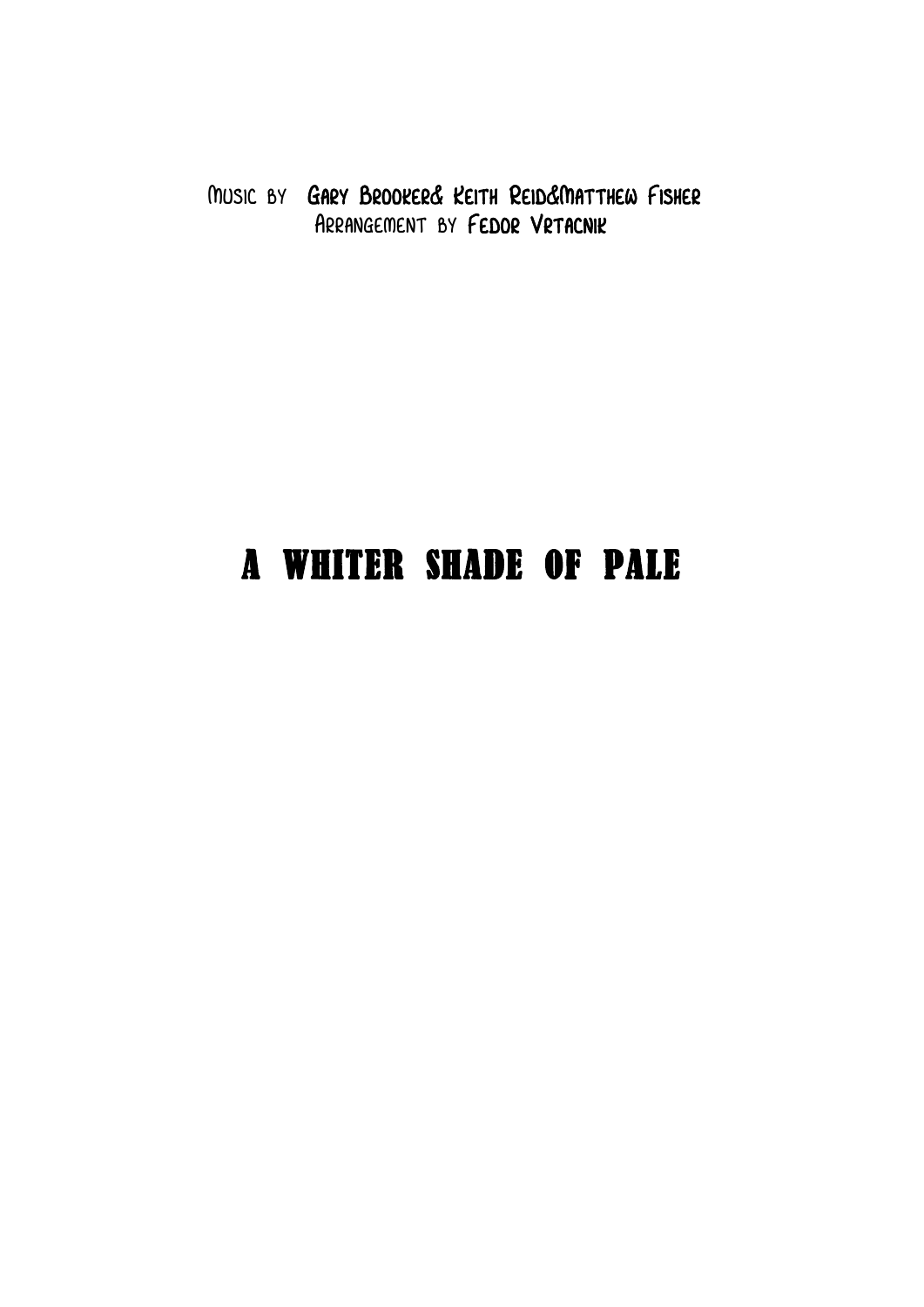Music by Gary Brooker& Keith Reid&Matthew Fisher Arrangement by Fedor Vrtacnik

## A WHITER SHAdE OF PAlE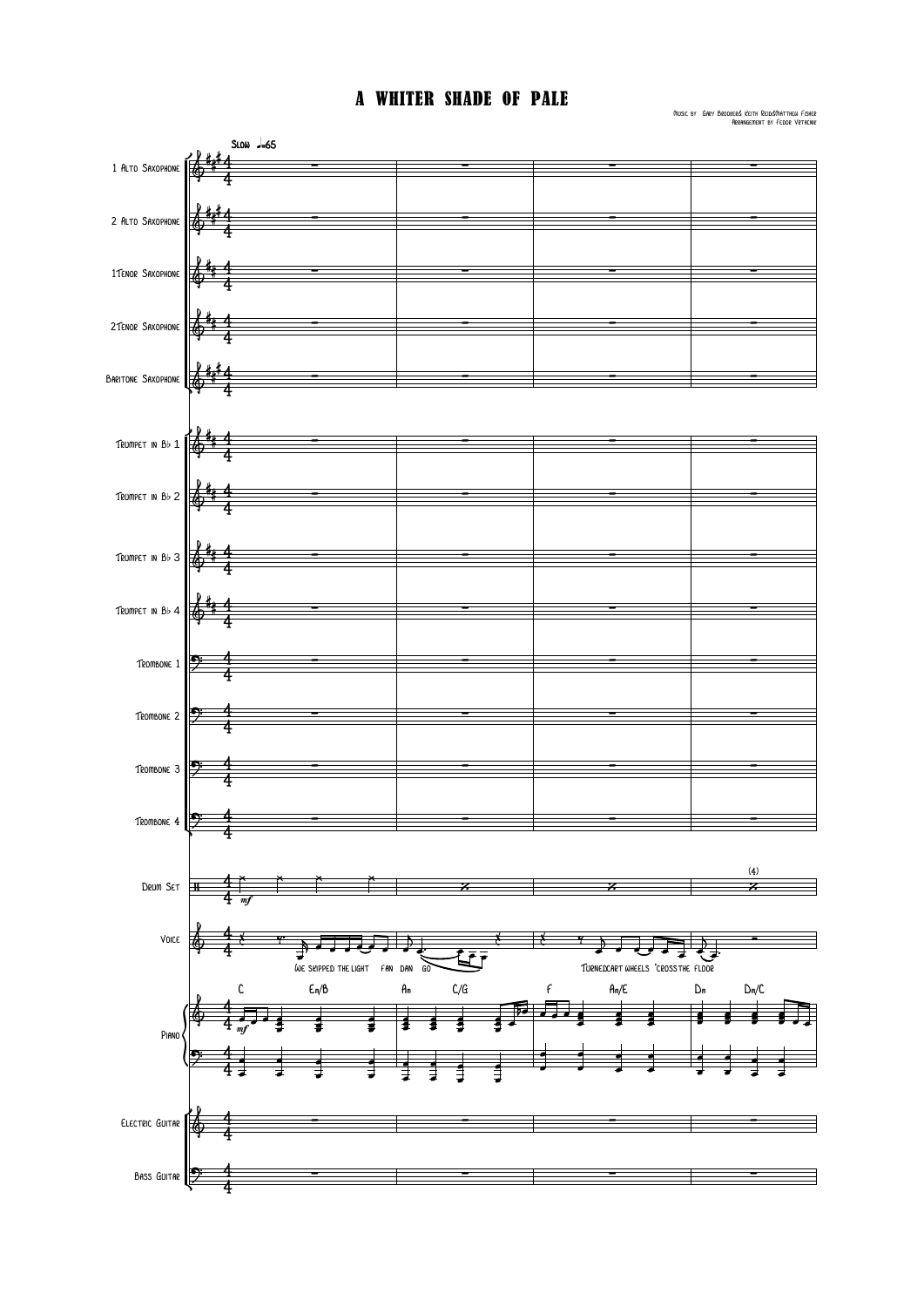Music by Gary Brooker& Keith Reid&Matthew Fisher Arrangement by Fedor Vrtacnik